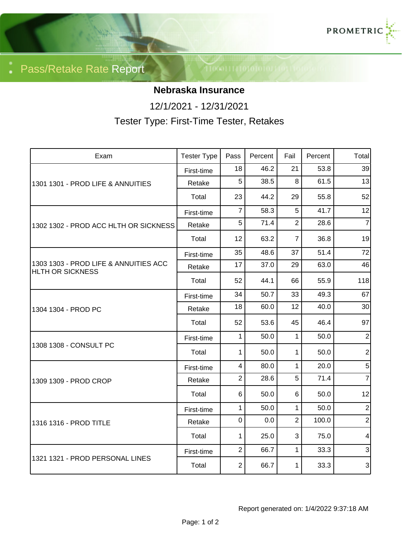

Pass/Retake Rate Report

## **Nebraska Insurance**

12/1/2021 - 12/31/2021

Tester Type: First-Time Tester, Retakes

| Exam                                                             | <b>Tester Type</b> | Pass           | Percent | Fail           | Percent | Total          |
|------------------------------------------------------------------|--------------------|----------------|---------|----------------|---------|----------------|
| 1301 1301 - PROD LIFE & ANNUITIES                                | First-time         | 18             | 46.2    | 21             | 53.8    | 39             |
|                                                                  | Retake             | 5              | 38.5    | 8              | 61.5    | 13             |
|                                                                  | Total              | 23             | 44.2    | 29             | 55.8    | 52             |
| 1302 1302 - PROD ACC HLTH OR SICKNESS                            | First-time         | $\overline{7}$ | 58.3    | 5              | 41.7    | 12             |
|                                                                  | Retake             | 5              | 71.4    | $\overline{2}$ | 28.6    | $\overline{7}$ |
|                                                                  | Total              | 12             | 63.2    | $\overline{7}$ | 36.8    | 19             |
| 1303 1303 - PROD LIFE & ANNUITIES ACC<br><b>HLTH OR SICKNESS</b> | First-time         | 35             | 48.6    | 37             | 51.4    | 72             |
|                                                                  | Retake             | 17             | 37.0    | 29             | 63.0    | 46             |
|                                                                  | Total              | 52             | 44.1    | 66             | 55.9    | 118            |
| 1304 1304 - PROD PC                                              | First-time         | 34             | 50.7    | 33             | 49.3    | 67             |
|                                                                  | Retake             | 18             | 60.0    | 12             | 40.0    | 30             |
|                                                                  | Total              | 52             | 53.6    | 45             | 46.4    | 97             |
| 1308 1308 - CONSULT PC                                           | First-time         | 1              | 50.0    | $\mathbf{1}$   | 50.0    | $\overline{2}$ |
|                                                                  | Total              | 1              | 50.0    | 1              | 50.0    | $\mathbf{2}$   |
| 1309 1309 - PROD CROP                                            | First-time         | 4              | 80.0    | $\mathbf{1}$   | 20.0    | 5 <sup>1</sup> |
|                                                                  | Retake             | $\overline{2}$ | 28.6    | 5              | 71.4    | $\overline{7}$ |
|                                                                  | Total              | 6              | 50.0    | 6              | 50.0    | 12             |
| 1316 1316 - PROD TITLE                                           | First-time         | 1              | 50.0    | $\mathbf 1$    | 50.0    | $\mathbf 2$    |
|                                                                  | Retake             | $\mathbf 0$    | 0.0     | $\overline{2}$ | 100.0   | $\overline{2}$ |
|                                                                  | Total              | $\mathbf{1}$   | 25.0    | 3              | 75.0    | 4              |
| 1321 1321 - PROD PERSONAL LINES                                  | First-time         | $\overline{2}$ | 66.7    | $\mathbf{1}$   | 33.3    | $\mathfrak{S}$ |
|                                                                  | Total              | $\overline{2}$ | 66.7    | $\mathbf{1}$   | 33.3    | $\mathbf{3}$   |